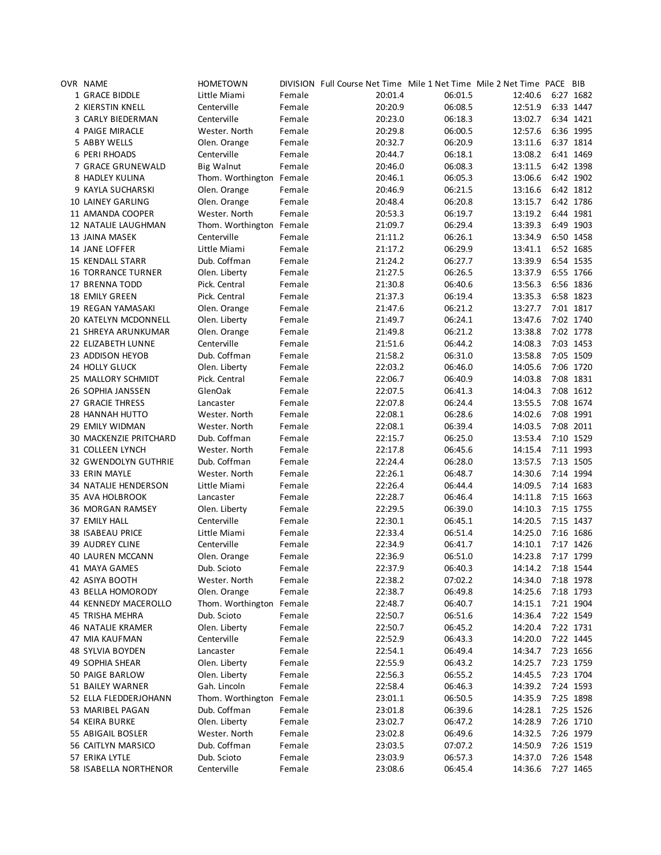| OVR NAME                    | <b>HOMETOWN</b>          |        | DIVISION Full Course Net Time Mile 1 Net Time Mile 2 Net Time PACE BIB |         |         |           |
|-----------------------------|--------------------------|--------|------------------------------------------------------------------------|---------|---------|-----------|
| 1 GRACE BIDDLE              | Little Miami             | Female | 20:01.4                                                                | 06:01.5 | 12:40.6 | 6:27 1682 |
| 2 KIERSTIN KNELL            | Centerville              | Female | 20:20.9                                                                | 06:08.5 | 12:51.9 | 6:33 1447 |
| 3 CARLY BIEDERMAN           | Centerville              | Female | 20:23.0                                                                | 06:18.3 | 13:02.7 | 6:34 1421 |
| 4 PAIGE MIRACLE             | Wester. North            | Female | 20:29.8                                                                | 06:00.5 | 12:57.6 | 6:36 1995 |
| 5 ABBY WELLS                | Olen. Orange             | Female | 20:32.7                                                                | 06:20.9 | 13:11.6 | 6:37 1814 |
| <b>6 PERI RHOADS</b>        | Centerville              | Female | 20:44.7                                                                | 06:18.1 | 13:08.2 | 6:41 1469 |
| 7 GRACE GRUNEWALD           | <b>Big Walnut</b>        | Female | 20:46.0                                                                | 06:08.3 | 13:11.5 | 6:42 1398 |
| 8 HADLEY KULINA             | Thom. Worthington Female |        | 20:46.1                                                                | 06:05.3 | 13:06.6 | 6:42 1902 |
| 9 KAYLA SUCHARSKI           | Olen. Orange             | Female | 20:46.9                                                                | 06:21.5 | 13:16.6 | 6:42 1812 |
| 10 LAINEY GARLING           | Olen. Orange             | Female | 20:48.4                                                                | 06:20.8 | 13:15.7 | 6:42 1786 |
| 11 AMANDA COOPER            | Wester. North            | Female | 20:53.3                                                                | 06:19.7 | 13:19.2 | 6:44 1981 |
| 12 NATALIE LAUGHMAN         | Thom. Worthington Female |        | 21:09.7                                                                | 06:29.4 | 13:39.3 | 6:49 1903 |
| 13 JAINA MASEK              | Centerville              | Female | 21:11.2                                                                | 06:26.1 | 13:34.9 | 6:50 1458 |
| 14 JANE LOFFER              | Little Miami             | Female | 21:17.2                                                                | 06:29.9 | 13:41.1 | 6:52 1685 |
| 15 KENDALL STARR            | Dub. Coffman             | Female | 21:24.2                                                                | 06:27.7 | 13:39.9 | 6:54 1535 |
| <b>16 TORRANCE TURNER</b>   | Olen. Liberty            | Female | 21:27.5                                                                | 06:26.5 | 13:37.9 | 6:55 1766 |
| 17 BRENNA TODD              | Pick. Central            | Female | 21:30.8                                                                | 06:40.6 | 13:56.3 | 6:56 1836 |
| <b>18 EMILY GREEN</b>       | Pick. Central            | Female | 21:37.3                                                                | 06:19.4 | 13:35.3 | 6:58 1823 |
| 19 REGAN YAMASAKI           | Olen. Orange             | Female | 21:47.6                                                                | 06:21.2 | 13:27.7 | 7:01 1817 |
| 20 KATELYN MCDONNELL        | Olen. Liberty            | Female | 21:49.7                                                                | 06:24.1 | 13:47.6 | 7:02 1740 |
|                             | Olen. Orange             | Female |                                                                        |         | 13:38.8 | 7:02 1778 |
| 21 SHREYA ARUNKUMAR         |                          |        | 21:49.8<br>21:51.6                                                     | 06:21.2 |         |           |
| 22 ELIZABETH LUNNE          | Centerville              | Female |                                                                        | 06:44.2 | 14:08.3 | 7:03 1453 |
| 23 ADDISON HEYOB            | Dub. Coffman             | Female | 21:58.2                                                                | 06:31.0 | 13:58.8 | 7:05 1509 |
| 24 HOLLY GLUCK              | Olen. Liberty            | Female | 22:03.2                                                                | 06:46.0 | 14:05.6 | 7:06 1720 |
| 25 MALLORY SCHMIDT          | Pick. Central            | Female | 22:06.7                                                                | 06:40.9 | 14:03.8 | 7:08 1831 |
| 26 SOPHIA JANSSEN           | GlenOak                  | Female | 22:07.5                                                                | 06:41.3 | 14:04.3 | 7:08 1612 |
| 27 GRACIE THRESS            | Lancaster                | Female | 22:07.8                                                                | 06:24.4 | 13:55.5 | 7:08 1674 |
| 28 HANNAH HUTTO             | Wester. North            | Female | 22:08.1                                                                | 06:28.6 | 14:02.6 | 7:08 1991 |
| 29 EMILY WIDMAN             | Wester. North            | Female | 22:08.1                                                                | 06:39.4 | 14:03.5 | 7:08 2011 |
| 30 MACKENZIE PRITCHARD      | Dub. Coffman             | Female | 22:15.7                                                                | 06:25.0 | 13:53.4 | 7:10 1529 |
| 31 COLLEEN LYNCH            | Wester. North            | Female | 22:17.8                                                                | 06:45.6 | 14:15.4 | 7:11 1993 |
| <b>32 GWENDOLYN GUTHRIE</b> | Dub. Coffman             | Female | 22:24.4                                                                | 06:28.0 | 13:57.5 | 7:13 1505 |
| 33 ERIN MAYLE               | Wester. North            | Female | 22:26.1                                                                | 06:48.7 | 14:30.6 | 7:14 1994 |
| 34 NATALIE HENDERSON        | Little Miami             | Female | 22:26.4                                                                | 06:44.4 | 14:09.5 | 7:14 1683 |
| 35 AVA HOLBROOK             | Lancaster                | Female | 22:28.7                                                                | 06:46.4 | 14:11.8 | 7:15 1663 |
| 36 MORGAN RAMSEY            | Olen. Liberty            | Female | 22:29.5                                                                | 06:39.0 | 14:10.3 | 7:15 1755 |
| 37 EMILY HALL               | Centerville              | Female | 22:30.1                                                                | 06:45.1 | 14:20.5 | 7:15 1437 |
| <b>38 ISABEAU PRICE</b>     | Little Miami             | Female | 22:33.4                                                                | 06:51.4 | 14:25.0 | 7:16 1686 |
| 39 AUDREY CLINE             | Centerville              | Female | 22:34.9                                                                | 06:41.7 | 14:10.1 | 7:17 1426 |
| 40 LAUREN MCCANN            | Olen. Orange             | Female | 22:36.9                                                                | 06:51.0 | 14:23.8 | 7:17 1799 |
| 41 MAYA GAMES               | Dub. Scioto              | Female | 22:37.9                                                                | 06:40.3 | 14:14.2 | 7:18 1544 |
| 42 ASIYA BOOTH              | Wester. North            | Female | 22:38.2                                                                | 07:02.2 | 14:34.0 | 7:18 1978 |
| 43 BELLA HOMORODY           | Olen. Orange             | Female | 22:38.7                                                                | 06:49.8 | 14:25.6 | 7:18 1793 |
| 44 KENNEDY MACEROLLO        | Thom. Worthington Female |        | 22:48.7                                                                | 06:40.7 | 14:15.1 | 7:21 1904 |
| 45 TRISHA MEHRA             | Dub. Scioto              | Female | 22:50.7                                                                | 06:51.6 | 14:36.4 | 7:22 1549 |
| 46 NATALIE KRAMER           | Olen. Liberty            | Female | 22:50.7                                                                | 06:45.2 | 14:20.4 | 7:22 1731 |
| 47 MIA KAUFMAN              | Centerville              | Female | 22:52.9                                                                | 06:43.3 | 14:20.0 | 7:22 1445 |
| <b>48 SYLVIA BOYDEN</b>     | Lancaster                | Female | 22:54.1                                                                | 06:49.4 | 14:34.7 | 7:23 1656 |
| 49 SOPHIA SHEAR             | Olen. Liberty            | Female | 22:55.9                                                                | 06:43.2 | 14:25.7 | 7:23 1759 |
| 50 PAIGE BARLOW             | Olen. Liberty            | Female | 22:56.3                                                                | 06:55.2 | 14:45.5 | 7:23 1704 |
| 51 BAILEY WARNER            | Gah. Lincoln             | Female | 22:58.4                                                                | 06:46.3 | 14:39.2 | 7:24 1593 |
| 52 ELLA FLEDDERJOHANN       | Thom. Worthington Female |        | 23:01.1                                                                | 06:50.5 | 14:35.9 | 7:25 1898 |
| 53 MARIBEL PAGAN            | Dub. Coffman             | Female | 23:01.8                                                                | 06:39.6 | 14:28.1 | 7:25 1526 |
| 54 KEIRA BURKE              | Olen. Liberty            | Female | 23:02.7                                                                | 06:47.2 | 14:28.9 | 7:26 1710 |
| 55 ABIGAIL BOSLER           | Wester. North            | Female | 23:02.8                                                                | 06:49.6 | 14:32.5 | 7:26 1979 |
| 56 CAITLYN MARSICO          | Dub. Coffman             | Female | 23:03.5                                                                | 07:07.2 | 14:50.9 | 7:26 1519 |
| 57 ERIKA LYTLE              | Dub. Scioto              | Female | 23:03.9                                                                | 06:57.3 | 14:37.0 | 7:26 1548 |
| 58 ISABELLA NORTHENOR       | Centerville              | Female | 23:08.6                                                                | 06:45.4 | 14:36.6 | 7:27 1465 |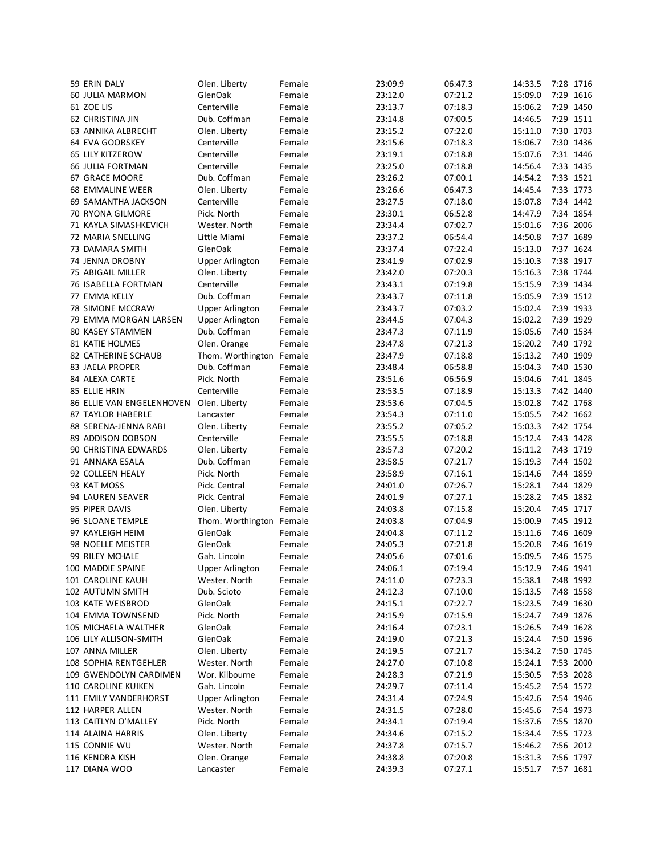| 59 ERIN DALY              | Olen. Liberty            | Female | 23:09.9 | 06:47.3 | 14:33.5 | 7:28 1716 |
|---------------------------|--------------------------|--------|---------|---------|---------|-----------|
| <b>60 JULIA MARMON</b>    | GlenOak                  | Female | 23:12.0 | 07:21.2 | 15:09.0 | 7:29 1616 |
| 61 ZOE LIS                | Centerville              | Female | 23:13.7 | 07:18.3 | 15:06.2 | 7:29 1450 |
| 62 CHRISTINA JIN          | Dub. Coffman             | Female | 23:14.8 | 07:00.5 | 14:46.5 | 7:29 1511 |
| <b>63 ANNIKA ALBRECHT</b> | Olen. Liberty            | Female | 23:15.2 | 07:22.0 | 15:11.0 | 7:30 1703 |
| 64 EVA GOORSKEY           | Centerville              | Female | 23:15.6 | 07:18.3 | 15:06.7 | 7:30 1436 |
| <b>65 LILY KITZEROW</b>   | Centerville              | Female | 23:19.1 | 07:18.8 | 15:07.6 | 7:31 1446 |
|                           |                          |        |         |         |         |           |
| <b>66 JULIA FORTMAN</b>   | Centerville              | Female | 23:25.0 | 07:18.8 | 14:56.4 | 7:33 1435 |
| 67 GRACE MOORE            | Dub. Coffman             | Female | 23:26.2 | 07:00.1 | 14:54.2 | 7:33 1521 |
| <b>68 EMMALINE WEER</b>   | Olen. Liberty            | Female | 23:26.6 | 06:47.3 | 14:45.4 | 7:33 1773 |
| 69 SAMANTHA JACKSON       | Centerville              | Female | 23:27.5 | 07:18.0 | 15:07.8 | 7:34 1442 |
| 70 RYONA GILMORE          | Pick. North              | Female | 23:30.1 | 06:52.8 | 14:47.9 | 7:34 1854 |
| 71 KAYLA SIMASHKEVICH     | Wester. North            | Female | 23:34.4 | 07:02.7 | 15:01.6 | 7:36 2006 |
| 72 MARIA SNELLING         | Little Miami             | Female | 23:37.2 | 06:54.4 | 14:50.8 | 7:37 1689 |
| 73 DAMARA SMITH           | GlenOak                  | Female | 23:37.4 | 07:22.4 | 15:13.0 | 7:37 1624 |
| 74 JENNA DROBNY           | Upper Arlington          | Female | 23:41.9 | 07:02.9 | 15:10.3 | 7:38 1917 |
| 75 ABIGAIL MILLER         | Olen. Liberty            | Female | 23:42.0 | 07:20.3 | 15:16.3 | 7:38 1744 |
| 76 ISABELLA FORTMAN       | Centerville              | Female | 23:43.1 | 07:19.8 | 15:15.9 | 7:39 1434 |
| 77 EMMA KELLY             | Dub. Coffman             | Female | 23:43.7 | 07:11.8 | 15:05.9 | 7:39 1512 |
| <b>78 SIMONE MCCRAW</b>   | <b>Upper Arlington</b>   | Female | 23:43.7 | 07:03.2 | 15:02.4 | 7:39 1933 |
| 79 EMMA MORGAN LARSEN     |                          | Female | 23:44.5 | 07:04.3 | 15:02.2 | 7:39 1929 |
|                           | Upper Arlington          |        |         |         |         |           |
| 80 KASEY STAMMEN          | Dub. Coffman             | Female | 23:47.3 | 07:11.9 | 15:05.6 | 7:40 1534 |
| 81 KATIE HOLMES           | Olen. Orange             | Female | 23:47.8 | 07:21.3 | 15:20.2 | 7:40 1792 |
| 82 CATHERINE SCHAUB       | Thom. Worthington Female |        | 23:47.9 | 07:18.8 | 15:13.2 | 7:40 1909 |
| 83 JAELA PROPER           | Dub. Coffman             | Female | 23:48.4 | 06:58.8 | 15:04.3 | 7:40 1530 |
| 84 ALEXA CARTE            | Pick. North              | Female | 23:51.6 | 06:56.9 | 15:04.6 | 7:41 1845 |
| 85 ELLIE HRIN             | Centerville              | Female | 23:53.5 | 07:18.9 | 15:13.3 | 7:42 1440 |
| 86 ELLIE VAN ENGELENHOVEN | Olen. Liberty            | Female | 23:53.6 | 07:04.5 | 15:02.8 | 7:42 1768 |
| 87 TAYLOR HABERLE         | Lancaster                | Female | 23:54.3 | 07:11.0 | 15:05.5 | 7:42 1662 |
| 88 SERENA-JENNA RABI      | Olen. Liberty            | Female | 23:55.2 | 07:05.2 | 15:03.3 | 7:42 1754 |
| 89 ADDISON DOBSON         | Centerville              | Female | 23:55.5 | 07:18.8 | 15:12.4 | 7:43 1428 |
| 90 CHRISTINA EDWARDS      | Olen. Liberty            | Female | 23:57.3 | 07:20.2 | 15:11.2 | 7:43 1719 |
| 91 ANNAKA ESALA           | Dub. Coffman             | Female | 23:58.5 | 07:21.7 | 15:19.3 | 7:44 1502 |
| 92 COLLEEN HEALY          | Pick. North              | Female | 23:58.9 | 07:16.1 | 15:14.6 | 7:44 1859 |
|                           |                          |        |         |         |         |           |
| 93 KAT MOSS               | Pick. Central            | Female | 24:01.0 | 07:26.7 | 15:28.1 | 7:44 1829 |
| 94 LAUREN SEAVER          | Pick. Central            | Female | 24:01.9 | 07:27.1 | 15:28.2 | 7:45 1832 |
| 95 PIPER DAVIS            | Olen. Liberty            | Female | 24:03.8 | 07:15.8 | 15:20.4 | 7:45 1717 |
| 96 SLOANE TEMPLE          | Thom. Worthington Female |        | 24:03.8 | 07:04.9 | 15:00.9 | 7:45 1912 |
| 97 KAYLEIGH HEIM          | GlenOak                  | Female | 24:04.8 | 07:11.2 | 15:11.6 | 7:46 1609 |
| 98 NOELLE MEISTER         | GlenOak                  | Female | 24:05.3 | 07:21.8 | 15:20.8 | 7:46 1619 |
| 99 RILEY MCHALE           | Gah. Lincoln             | Female | 24:05.6 | 07:01.6 | 15:09.5 | 7:46 1575 |
| 100 MADDIE SPAINE         | <b>Upper Arlington</b>   | Female | 24:06.1 | 07:19.4 | 15:12.9 | 7:46 1941 |
| 101 CAROLINE KAUH         | Wester. North            | Female | 24:11.0 | 07:23.3 | 15:38.1 | 7:48 1992 |
| 102 AUTUMN SMITH          | Dub. Scioto              | Female | 24:12.3 | 07:10.0 | 15:13.5 | 7:48 1558 |
| 103 KATE WEISBROD         | GlenOak                  | Female | 24:15.1 | 07:22.7 | 15:23.5 | 7:49 1630 |
| 104 EMMA TOWNSEND         | Pick. North              | Female | 24:15.9 | 07:15.9 | 15:24.7 | 7:49 1876 |
| 105 MICHAELA WALTHER      | GlenOak                  | Female | 24:16.4 | 07:23.1 | 15:26.5 | 7:49 1628 |
| 106 LILY ALLISON-SMITH    | GlenOak                  | Female | 24:19.0 | 07:21.3 | 15:24.4 | 7:50 1596 |
|                           |                          |        |         |         |         | 7:50 1745 |
| 107 ANNA MILLER           | Olen. Liberty            | Female | 24:19.5 | 07:21.7 | 15:34.2 |           |
| 108 SOPHIA RENTGEHLER     | Wester. North            | Female | 24:27.0 | 07:10.8 | 15:24.1 | 7:53 2000 |
| 109 GWENDOLYN CARDIMEN    | Wor. Kilbourne           | Female | 24:28.3 | 07:21.9 | 15:30.5 | 7:53 2028 |
| 110 CAROLINE KUIKEN       | Gah. Lincoln             | Female | 24:29.7 | 07:11.4 | 15:45.2 | 7:54 1572 |
| 111 EMILY VANDERHORST     | Upper Arlington          | Female | 24:31.4 | 07:24.9 | 15:42.6 | 7:54 1946 |
| 112 HARPER ALLEN          | Wester. North            | Female | 24:31.5 | 07:28.0 | 15:45.6 | 7:54 1973 |
| 113 CAITLYN O'MALLEY      | Pick. North              | Female | 24:34.1 | 07:19.4 | 15:37.6 | 7:55 1870 |
| 114 ALAINA HARRIS         | Olen. Liberty            | Female | 24:34.6 | 07:15.2 | 15:34.4 | 7:55 1723 |
| 115 CONNIE WU             | Wester. North            | Female | 24:37.8 | 07:15.7 | 15:46.2 | 7:56 2012 |
| 116 KENDRA KISH           | Olen. Orange             | Female | 24:38.8 | 07:20.8 | 15:31.3 | 7:56 1797 |
| 117 DIANA WOO             | Lancaster                | Female | 24:39.3 | 07:27.1 | 15:51.7 | 7:57 1681 |
|                           |                          |        |         |         |         |           |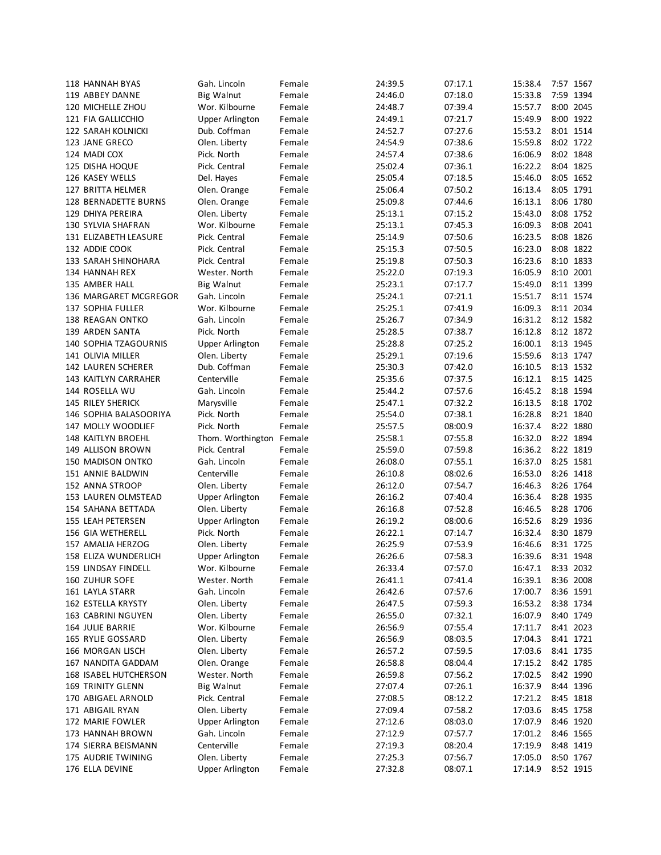| 118 HANNAH BYAS              | Gah. Lincoln             | Female | 24:39.5 | 07:17.1 | 15:38.4 | 7:57 1567 |
|------------------------------|--------------------------|--------|---------|---------|---------|-----------|
| 119 ABBEY DANNE              | <b>Big Walnut</b>        | Female | 24:46.0 | 07:18.0 | 15:33.8 | 7:59 1394 |
| 120 MICHELLE ZHOU            | Wor. Kilbourne           | Female | 24:48.7 | 07:39.4 | 15:57.7 | 8:00 2045 |
| 121 FIA GALLICCHIO           | Upper Arlington          | Female | 24:49.1 | 07:21.7 | 15:49.9 | 8:00 1922 |
| <b>122 SARAH KOLNICKI</b>    | Dub. Coffman             | Female | 24:52.7 | 07:27.6 | 15:53.2 | 8:01 1514 |
| 123 JANE GRECO               | Olen. Liberty            | Female | 24:54.9 | 07:38.6 | 15:59.8 | 8:02 1722 |
| 124 MADI COX                 | Pick. North              | Female | 24:57.4 | 07:38.6 | 16:06.9 | 8:02 1848 |
| 125 DISHA HOQUE              | Pick. Central            | Female | 25:02.4 | 07:36.1 | 16:22.2 | 8:04 1825 |
|                              |                          |        |         |         |         | 8:05 1652 |
| 126 KASEY WELLS              | Del. Hayes               | Female | 25:05.4 | 07:18.5 | 15:46.0 |           |
| 127 BRITTA HELMER            | Olen. Orange             | Female | 25:06.4 | 07:50.2 | 16:13.4 | 8:05 1791 |
| 128 BERNADETTE BURNS         | Olen. Orange             | Female | 25:09.8 | 07:44.6 | 16:13.1 | 8:06 1780 |
| 129 DHIYA PEREIRA            | Olen. Liberty            | Female | 25:13.1 | 07:15.2 | 15:43.0 | 8:08 1752 |
| 130 SYLVIA SHAFRAN           | Wor. Kilbourne           | Female | 25:13.1 | 07:45.3 | 16:09.3 | 8:08 2041 |
| 131 ELIZABETH LEASURE        | Pick. Central            | Female | 25:14.9 | 07:50.6 | 16:23.5 | 8:08 1826 |
| 132 ADDIE COOK               | Pick. Central            | Female | 25:15.3 | 07:50.5 | 16:23.0 | 8:08 1822 |
| 133 SARAH SHINOHARA          | Pick. Central            | Female | 25:19.8 | 07:50.3 | 16:23.6 | 8:10 1833 |
| 134 HANNAH REX               | Wester. North            | Female | 25:22.0 | 07:19.3 | 16:05.9 | 8:10 2001 |
| 135 AMBER HALL               | <b>Big Walnut</b>        | Female | 25:23.1 | 07:17.7 | 15:49.0 | 8:11 1399 |
| 136 MARGARET MCGREGOR        | Gah. Lincoln             | Female | 25:24.1 | 07:21.1 | 15:51.7 | 8:11 1574 |
| 137 SOPHIA FULLER            | Wor. Kilbourne           | Female | 25:25.1 | 07:41.9 | 16:09.3 | 8:11 2034 |
| <b>138 REAGAN ONTKO</b>      | Gah. Lincoln             | Female | 25:26.7 | 07:34.9 | 16:31.2 | 8:12 1582 |
| 139 ARDEN SANTA              | Pick. North              | Female | 25:28.5 | 07:38.7 | 16:12.8 | 8:12 1872 |
| <b>140 SOPHIA TZAGOURNIS</b> | Upper Arlington          | Female | 25:28.8 | 07:25.2 | 16:00.1 | 8:13 1945 |
| 141 OLIVIA MILLER            | Olen. Liberty            | Female | 25:29.1 | 07:19.6 | 15:59.6 | 8:13 1747 |
| <b>142 LAUREN SCHERER</b>    | Dub. Coffman             | Female | 25:30.3 | 07:42.0 | 16:10.5 | 8:13 1532 |
| 143 KAITLYN CARRAHER         | Centerville              | Female | 25:35.6 | 07:37.5 | 16:12.1 | 8:15 1425 |
| 144 ROSELLA WU               | Gah. Lincoln             | Female | 25:44.2 | 07:57.6 | 16:45.2 | 8:18 1594 |
| <b>145 RILEY SHERICK</b>     | Marysville               | Female | 25:47.1 | 07:32.2 | 16:13.5 | 8:18 1702 |
|                              | Pick. North              | Female | 25:54.0 | 07:38.1 | 16:28.8 | 8:21 1840 |
| 146 SOPHIA BALASOORIYA       |                          |        |         |         |         |           |
| 147 MOLLY WOODLIEF           | Pick. North              | Female | 25:57.5 | 08:00.9 | 16:37.4 | 8:22 1880 |
| 148 KAITLYN BROEHL           | Thom. Worthington Female |        | 25:58.1 | 07:55.8 | 16:32.0 | 8:22 1894 |
| 149 ALLISON BROWN            | Pick. Central            | Female | 25:59.0 | 07:59.8 | 16:36.2 | 8:22 1819 |
| <b>150 MADISON ONTKO</b>     | Gah. Lincoln             | Female | 26:08.0 | 07:55.1 | 16:37.0 | 8:25 1581 |
| 151 ANNIE BALDWIN            | Centerville              | Female | 26:10.8 | 08:02.6 | 16:53.0 | 8:26 1418 |
| 152 ANNA STROOP              | Olen. Liberty            | Female | 26:12.0 | 07:54.7 | 16:46.3 | 8:26 1764 |
| 153 LAUREN OLMSTEAD          | <b>Upper Arlington</b>   | Female | 26:16.2 | 07:40.4 | 16:36.4 | 8:28 1935 |
| 154 SAHANA BETTADA           | Olen. Liberty            | Female | 26:16.8 | 07:52.8 | 16:46.5 | 8:28 1706 |
| 155 LEAH PETERSEN            | <b>Upper Arlington</b>   | Female | 26:19.2 | 08:00.6 | 16:52.6 | 8:29 1936 |
| 156 GIA WETHERELL            | Pick. North              | Female | 26:22.1 | 07:14.7 | 16:32.4 | 8:30 1879 |
| 157 AMALIA HERZOG            | Olen. Liberty            | Female | 26:25.9 | 07:53.9 | 16:46.6 | 8:31 1725 |
| 158 ELIZA WUNDERLICH         | Upper Arlington          | Female | 26:26.6 | 07:58.3 | 16:39.6 | 8:31 1948 |
| 159 LINDSAY FINDELL          | Wor. Kilbourne           | Female | 26:33.4 | 07:57.0 | 16:47.1 | 8:33 2032 |
| 160 ZUHUR SOFE               | Wester. North            | Female | 26:41.1 | 07:41.4 | 16:39.1 | 8:36 2008 |
| 161 LAYLA STARR              | Gah. Lincoln             | Female | 26:42.6 | 07:57.6 | 17:00.7 | 8:36 1591 |
| 162 ESTELLA KRYSTY           | Olen. Liberty            | Female | 26:47.5 | 07:59.3 | 16:53.2 | 8:38 1734 |
| 163 CABRINI NGUYEN           | Olen. Liberty            | Female | 26:55.0 | 07:32.1 | 16:07.9 | 8:40 1749 |
| 164 JULIE BARRIE             | Wor. Kilbourne           | Female | 26:56.9 | 07:55.4 | 17:11.7 | 8:41 2023 |
| 165 RYLIE GOSSARD            | Olen. Liberty            | Female | 26:56.9 | 08:03.5 | 17:04.3 | 8:41 1721 |
| 166 MORGAN LISCH             |                          |        |         |         | 17:03.6 | 8:41 1735 |
|                              | Olen. Liberty            | Female | 26:57.2 | 07:59.5 |         |           |
| 167 NANDITA GADDAM           | Olen. Orange             | Female | 26:58.8 | 08:04.4 | 17:15.2 | 8:42 1785 |
| 168 ISABEL HUTCHERSON        | Wester. North            | Female | 26:59.8 | 07:56.2 | 17:02.5 | 8:42 1990 |
| <b>169 TRINITY GLENN</b>     | <b>Big Walnut</b>        | Female | 27:07.4 | 07:26.1 | 16:37.9 | 8:44 1396 |
| 170 ABIGAEL ARNOLD           | Pick. Central            | Female | 27:08.5 | 08:12.2 | 17:21.2 | 8:45 1818 |
| 171 ABIGAIL RYAN             | Olen. Liberty            | Female | 27:09.4 | 07:58.2 | 17:03.6 | 8:45 1758 |
| 172 MARIE FOWLER             | Upper Arlington          | Female | 27:12.6 | 08:03.0 | 17:07.9 | 8:46 1920 |
| 173 HANNAH BROWN             | Gah. Lincoln             | Female | 27:12.9 | 07:57.7 | 17:01.2 | 8:46 1565 |
| 174 SIERRA BEISMANN          | Centerville              | Female | 27:19.3 | 08:20.4 | 17:19.9 | 8:48 1419 |
| 175 AUDRIE TWINING           | Olen. Liberty            | Female | 27:25.3 | 07:56.7 | 17:05.0 | 8:50 1767 |
| 176 ELLA DEVINE              | Upper Arlington          | Female | 27:32.8 | 08:07.1 | 17:14.9 | 8:52 1915 |